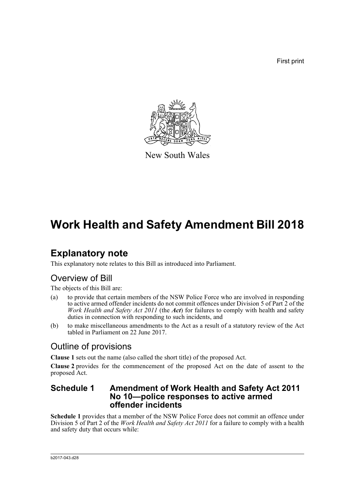First print



New South Wales

# **Work Health and Safety Amendment Bill 2018**

## **Explanatory note**

This explanatory note relates to this Bill as introduced into Parliament.

### Overview of Bill

The objects of this Bill are:

- (a) to provide that certain members of the NSW Police Force who are involved in responding to active armed offender incidents do not commit offences under Division 5 of Part 2 of the *Work Health and Safety Act 2011* (the *Act*) for failures to comply with health and safety duties in connection with responding to such incidents, and
- (b) to make miscellaneous amendments to the Act as a result of a statutory review of the Act tabled in Parliament on 22 June 2017.

### Outline of provisions

**Clause 1** sets out the name (also called the short title) of the proposed Act.

**Clause 2** provides for the commencement of the proposed Act on the date of assent to the proposed Act.

### **Schedule 1 Amendment of Work Health and Safety Act 2011 No 10—police responses to active armed offender incidents**

**Schedule 1** provides that a member of the NSW Police Force does not commit an offence under Division 5 of Part 2 of the *Work Health and Safety Act 2011* for a failure to comply with a health and safety duty that occurs while: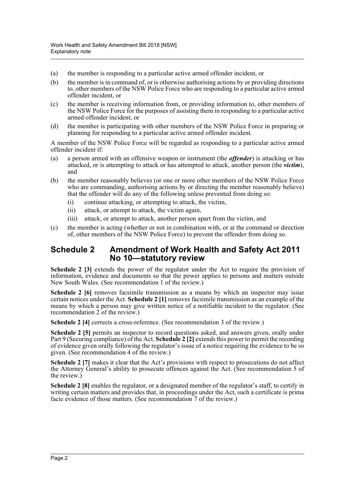- (a) the member is responding to a particular active armed offender incident, or
- (b) the member is in command of, or is otherwise authorising actions by or providing directions to, other members of the NSW Police Force who are responding to a particular active armed offender incident, or
- (c) the member is receiving information from, or providing information to, other members of the NSW Police Force for the purposes of assisting them in responding to a particular active armed offender incident, or
- (d) the member is participating with other members of the NSW Police Force in preparing or planning for responding to a particular active armed offender incident.

A member of the NSW Police Force will be regarded as responding to a particular active armed offender incident if:

- (a) a person armed with an offensive weapon or instrument (the *offender*) is attacking or has attacked, or is attempting to attack or has attempted to attack, another person (the *victim*), and
- (b) the member reasonably believes (or one or more other members of the NSW Police Force who are commanding, authorising actions by or directing the member reasonably believe) that the offender will do any of the following unless prevented from doing so:
	- (i) continue attacking, or attempting to attack, the victim,
	- (ii) attack, or attempt to attack, the victim again,
	- (iii) attack, or attempt to attack, another person apart from the victim, and
- (c) the member is acting (whether or not in combination with, or at the command or direction of, other members of the NSW Police Force) to prevent the offender from doing so.

#### **Schedule 2 Amendment of Work Health and Safety Act 2011 No 10—statutory review**

Schedule 2 [3] extends the power of the regulator under the Act to require the provision of information, evidence and documents so that the power applies to persons and matters outside New South Wales. (See recommendation 1 of the review.)

**Schedule 2 [6]** removes facsimile transmission as a means by which an inspector may issue certain notices under the Act. **Schedule 2 [1]** removes facsimile transmission as an example of the means by which a person may give written notice of a notifiable incident to the regulator. (See recommendation 2 of the review.)

**Schedule 2 [4]** corrects a cross-reference. (See recommendation 3 of the review.)

**Schedule 2 [5]** permits an inspector to record questions asked, and answers given, orally under Part 9 (Securing compliance) of the Act. **Schedule 2 [2]** extends this power to permit the recording of evidence given orally following the regulator's issue of a notice requiring the evidence to be so given. (See recommendation 4 of the review.)

**Schedule 2** [7] makes it clear that the Act's provisions with respect to prosecutions do not affect the Attorney General's ability to prosecute offences against the Act. (See recommendation 5 of the review.)

**Schedule 2 [8]** enables the regulator, or a designated member of the regulator's staff, to certify in writing certain matters and provides that, in proceedings under the Act, such a certificate is prima facie evidence of those matters. (See recommendation 7 of the review.)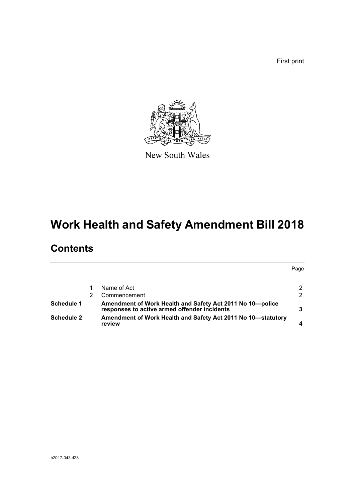First print



New South Wales

# **Work Health and Safety Amendment Bill 2018**

## **Contents**

|                   |                                                                                                           | Page          |
|-------------------|-----------------------------------------------------------------------------------------------------------|---------------|
|                   | Name of Act                                                                                               | 2             |
|                   | Commencement                                                                                              | $\mathcal{P}$ |
| <b>Schedule 1</b> | Amendment of Work Health and Safety Act 2011 No 10-police<br>responses to active armed offender incidents |               |
| <b>Schedule 2</b> | Amendment of Work Health and Safety Act 2011 No 10—statutory<br>review                                    |               |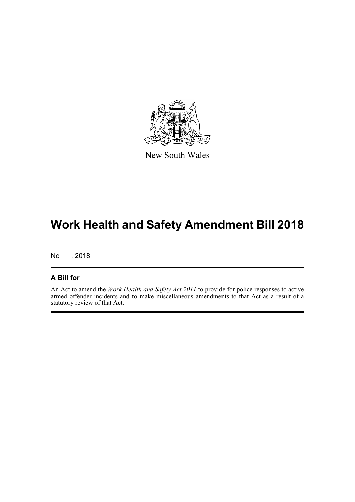

New South Wales

## **Work Health and Safety Amendment Bill 2018**

No , 2018

#### **A Bill for**

An Act to amend the *Work Health and Safety Act 2011* to provide for police responses to active armed offender incidents and to make miscellaneous amendments to that Act as a result of a statutory review of that Act.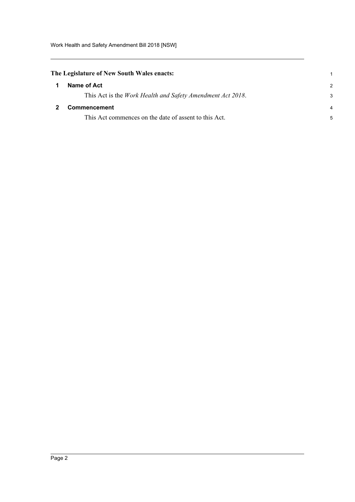### <span id="page-4-0"></span>**The Legislature of New South Wales enacts:**

<span id="page-4-1"></span>

| -1           | Name of Act                                                        |   |
|--------------|--------------------------------------------------------------------|---|
|              | This Act is the <i>Work Health and Safety Amendment Act 2018</i> . |   |
| $\mathbf{2}$ | <b>Commencement</b>                                                | 4 |
|              | This Act commences on the date of assent to this Act.              |   |

1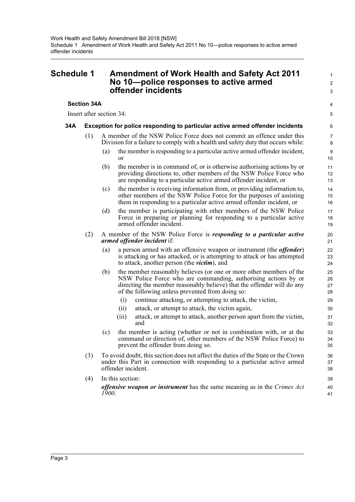### <span id="page-5-0"></span>**Schedule 1 Amendment of Work Health and Safety Act 2011 No 10—police responses to active armed offender incidents**

#### **Section 34A**

Insert after section 34:

#### **34A Exception for police responding to particular active armed offender incidents**

- (1) A member of the NSW Police Force does not commit an offence under this Division for a failure to comply with a health and safety duty that occurs while:
	- (a) the member is responding to a particular active armed offender incident, or

1  $\overline{2}$ 3

4 5

- (b) the member is in command of, or is otherwise authorising actions by or providing directions to, other members of the NSW Police Force who are responding to a particular active armed offender incident, or
- (c) the member is receiving information from, or providing information to, other members of the NSW Police Force for the purposes of assisting them in responding to a particular active armed offender incident, or
- (d) the member is participating with other members of the NSW Police Force in preparing or planning for responding to a particular active armed offender incident.
- (2) A member of the NSW Police Force is *responding to a particular active armed offender incident* if:
	- (a) a person armed with an offensive weapon or instrument (the *offender*) is attacking or has attacked, or is attempting to attack or has attempted to attack, another person (the *victim*), and
	- (b) the member reasonably believes (or one or more other members of the NSW Police Force who are commanding, authorising actions by or directing the member reasonably believe) that the offender will do any of the following unless prevented from doing so:
		- (i) continue attacking, or attempting to attack, the victim,
		- (ii) attack, or attempt to attack, the victim again,
		- (iii) attack, or attempt to attack, another person apart from the victim, and
	- (c) the member is acting (whether or not in combination with, or at the command or direction of, other members of the NSW Police Force) to prevent the offender from doing so.
- (3) To avoid doubt, this section does not affect the duties of the State or the Crown under this Part in connection with responding to a particular active armed offender incident.
- (4) In this section: *offensive weapon or instrument* has the same meaning as in the *Crimes Act 1900*.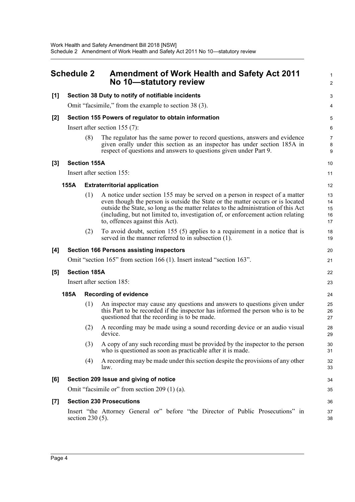<span id="page-6-0"></span>

| <b>Schedule 2</b> |                                                       |                                                       | <b>Amendment of Work Health and Safety Act 2011</b><br>No 10-statutory review                                                                                                                                                                                                                                                                                              |                            |  |
|-------------------|-------------------------------------------------------|-------------------------------------------------------|----------------------------------------------------------------------------------------------------------------------------------------------------------------------------------------------------------------------------------------------------------------------------------------------------------------------------------------------------------------------------|----------------------------|--|
| [1]               | Section 38 Duty to notify of notifiable incidents     |                                                       |                                                                                                                                                                                                                                                                                                                                                                            |                            |  |
|                   |                                                       | Omit "facsimile," from the example to section 38 (3). |                                                                                                                                                                                                                                                                                                                                                                            |                            |  |
| [2]               | Section 155 Powers of regulator to obtain information |                                                       |                                                                                                                                                                                                                                                                                                                                                                            |                            |  |
|                   |                                                       | Insert after section $155(7)$ :                       |                                                                                                                                                                                                                                                                                                                                                                            |                            |  |
|                   |                                                       | (8)                                                   | The regulator has the same power to record questions, answers and evidence<br>given orally under this section as an inspector has under section 185A in<br>respect of questions and answers to questions given under Part 9.                                                                                                                                               | 7<br>8<br>9                |  |
| [3]               |                                                       | <b>Section 155A</b>                                   |                                                                                                                                                                                                                                                                                                                                                                            | 10                         |  |
|                   |                                                       | Insert after section 155:                             |                                                                                                                                                                                                                                                                                                                                                                            |                            |  |
|                   | 155A                                                  |                                                       | <b>Extraterritorial application</b>                                                                                                                                                                                                                                                                                                                                        | 12                         |  |
|                   |                                                       | (1)                                                   | A notice under section 155 may be served on a person in respect of a matter<br>even though the person is outside the State or the matter occurs or is located<br>outside the State, so long as the matter relates to the administration of this Act<br>(including, but not limited to, investigation of, or enforcement action relating<br>to, offences against this Act). | 13<br>14<br>15<br>16<br>17 |  |
|                   |                                                       | (2)                                                   | To avoid doubt, section 155 (5) applies to a requirement in a notice that is<br>served in the manner referred to in subsection (1).                                                                                                                                                                                                                                        | 18<br>19                   |  |
| [4]               |                                                       |                                                       | <b>Section 166 Persons assisting inspectors</b>                                                                                                                                                                                                                                                                                                                            | 20                         |  |
|                   |                                                       |                                                       | Omit "section 165" from section 166 (1). Insert instead "section 163".                                                                                                                                                                                                                                                                                                     | 21                         |  |
| [5]               |                                                       | <b>Section 185A</b>                                   |                                                                                                                                                                                                                                                                                                                                                                            | 22                         |  |
|                   |                                                       | Insert after section 185:                             |                                                                                                                                                                                                                                                                                                                                                                            |                            |  |
|                   | 185A                                                  |                                                       | <b>Recording of evidence</b>                                                                                                                                                                                                                                                                                                                                               | 24                         |  |
|                   |                                                       | (1)                                                   | An inspector may cause any questions and answers to questions given under<br>this Part to be recorded if the inspector has informed the person who is to be<br>questioned that the recording is to be made.                                                                                                                                                                | 25<br>26<br>27             |  |
|                   |                                                       | (2)                                                   | A recording may be made using a sound recording device or an audio visual<br>device.                                                                                                                                                                                                                                                                                       | 28<br>29                   |  |
|                   |                                                       | (3)                                                   | A copy of any such recording must be provided by the inspector to the person<br>who is questioned as soon as practicable after it is made.                                                                                                                                                                                                                                 | 30<br>31                   |  |
|                   |                                                       | (4)                                                   | A recording may be made under this section despite the provisions of any other<br>law.                                                                                                                                                                                                                                                                                     | 32<br>33                   |  |
| [6]               |                                                       |                                                       | Section 209 Issue and giving of notice                                                                                                                                                                                                                                                                                                                                     | 34                         |  |
|                   | Omit "facsimile or" from section 209 (1) (a).         |                                                       |                                                                                                                                                                                                                                                                                                                                                                            | 35                         |  |
| $[7]$             |                                                       |                                                       | <b>Section 230 Prosecutions</b>                                                                                                                                                                                                                                                                                                                                            | 36                         |  |
|                   |                                                       | section $230(5)$ .                                    | Insert "the Attorney General or" before "the Director of Public Prosecutions" in                                                                                                                                                                                                                                                                                           | 37<br>38                   |  |